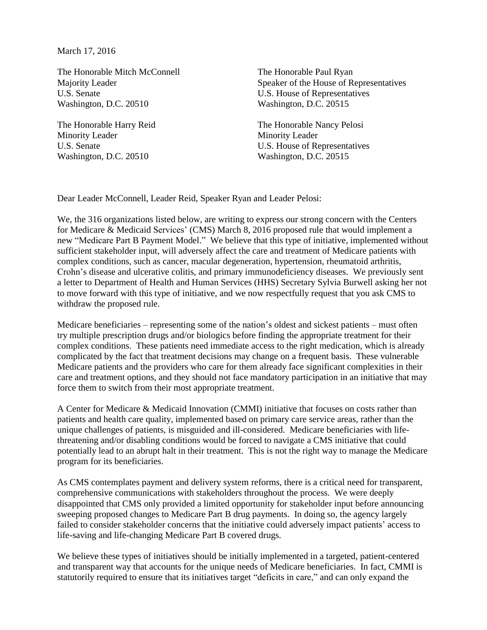March 17, 2016

The Honorable Mitch McConnell Majority Leader U.S. Senate Washington, D.C. 20510

The Honorable Harry Reid Minority Leader U.S. Senate Washington, D.C. 20510

The Honorable Paul Ryan Speaker of the House of Representatives U.S. House of Representatives Washington, D.C. 20515

The Honorable Nancy Pelosi Minority Leader U.S. House of Representatives Washington, D.C. 20515

Dear Leader McConnell, Leader Reid, Speaker Ryan and Leader Pelosi:

We, the 316 organizations listed below, are writing to express our strong concern with the Centers for Medicare & Medicaid Services' (CMS) March 8, 2016 proposed rule that would implement a new "Medicare Part B Payment Model." We believe that this type of initiative, implemented without sufficient stakeholder input, will adversely affect the care and treatment of Medicare patients with complex conditions, such as cancer, macular degeneration, hypertension, rheumatoid arthritis, Crohn's disease and ulcerative colitis, and primary immunodeficiency diseases. We previously sent a letter to Department of Health and Human Services (HHS) Secretary Sylvia Burwell asking her not to move forward with this type of initiative, and we now respectfully request that you ask CMS to withdraw the proposed rule.

Medicare beneficiaries – representing some of the nation's oldest and sickest patients – must often try multiple prescription drugs and/or biologics before finding the appropriate treatment for their complex conditions. These patients need immediate access to the right medication, which is already complicated by the fact that treatment decisions may change on a frequent basis. These vulnerable Medicare patients and the providers who care for them already face significant complexities in their care and treatment options, and they should not face mandatory participation in an initiative that may force them to switch from their most appropriate treatment.

A Center for Medicare & Medicaid Innovation (CMMI) initiative that focuses on costs rather than patients and health care quality, implemented based on primary care service areas, rather than the unique challenges of patients, is misguided and ill-considered. Medicare beneficiaries with lifethreatening and/or disabling conditions would be forced to navigate a CMS initiative that could potentially lead to an abrupt halt in their treatment. This is not the right way to manage the Medicare program for its beneficiaries.

As CMS contemplates payment and delivery system reforms, there is a critical need for transparent, comprehensive communications with stakeholders throughout the process. We were deeply disappointed that CMS only provided a limited opportunity for stakeholder input before announcing sweeping proposed changes to Medicare Part B drug payments. In doing so, the agency largely failed to consider stakeholder concerns that the initiative could adversely impact patients' access to life-saving and life-changing Medicare Part B covered drugs.

We believe these types of initiatives should be initially implemented in a targeted, patient-centered and transparent way that accounts for the unique needs of Medicare beneficiaries. In fact, CMMI is statutorily required to ensure that its initiatives target "deficits in care," and can only expand the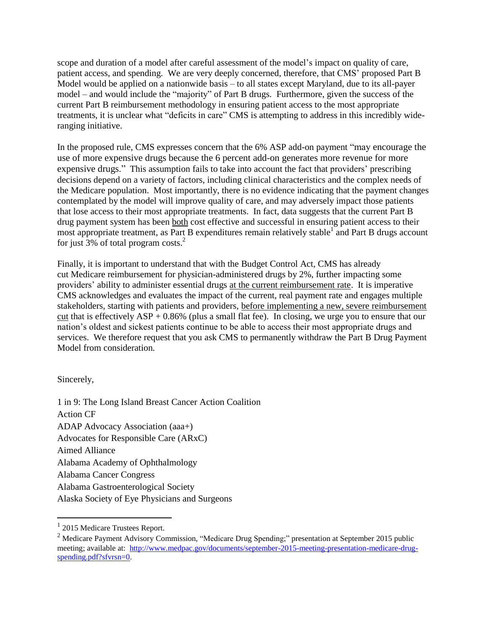scope and duration of a model after careful assessment of the model's impact on quality of care, patient access, and spending. We are very deeply concerned, therefore, that CMS' proposed Part B Model would be applied on a nationwide basis – to all states except Maryland, due to its all-payer model – and would include the "majority" of Part B drugs. Furthermore, given the success of the current Part B reimbursement methodology in ensuring patient access to the most appropriate treatments, it is unclear what "deficits in care" CMS is attempting to address in this incredibly wideranging initiative.

In the proposed rule, CMS expresses concern that the 6% ASP add-on payment "may encourage the use of more expensive drugs because the 6 percent add-on generates more revenue for more expensive drugs." This assumption fails to take into account the fact that providers' prescribing decisions depend on a variety of factors, including clinical characteristics and the complex needs of the Medicare population. Most importantly, there is no evidence indicating that the payment changes contemplated by the model will improve quality of care, and may adversely impact those patients that lose access to their most appropriate treatments. In fact, data suggests that the current Part B drug payment system has been both cost effective and successful in ensuring patient access to their most appropriate treatment, as Part B expenditures remain relatively stable<sup>1</sup> and Part B drugs account for just 3% of total program costs. $^{2}$ 

Finally, it is important to understand that with the Budget Control Act, CMS has already cut Medicare reimbursement for physician-administered drugs by 2%, further impacting some providers' ability to administer essential drugs at the current reimbursement rate. It is imperative CMS acknowledges and evaluates the impact of the current, real payment rate and engages multiple stakeholders, starting with patients and providers, before implementing a new, severe reimbursement cut that is effectively  $ASP + 0.86\%$  (plus a small flat fee). In closing, we urge you to ensure that our nation's oldest and sickest patients continue to be able to access their most appropriate drugs and services. We therefore request that you ask CMS to permanently withdraw the Part B Drug Payment Model from consideration.

Sincerely,

1 in 9: The Long Island Breast Cancer Action Coalition Action CF ADAP Advocacy Association (aaa+) Advocates for Responsible Care (ARxC) Aimed Alliance Alabama Academy of Ophthalmology Alabama Cancer Congress Alabama Gastroenterological Society Alaska Society of Eye Physicians and Surgeons

 1 2015 Medicare Trustees Report.

<sup>&</sup>lt;sup>2</sup> Medicare Payment Advisory Commission, "Medicare Drug Spending;" presentation at September 2015 public meeting; available at: [http://www.medpac.gov/documents/september-2015-meeting-presentation-medicare-drug](http://www.medpac.gov/documents/september-2015-meeting-presentation-medicare-drug-spending.pdf?sfvrsn=0)[spending.pdf?sfvrsn=0.](http://www.medpac.gov/documents/september-2015-meeting-presentation-medicare-drug-spending.pdf?sfvrsn=0)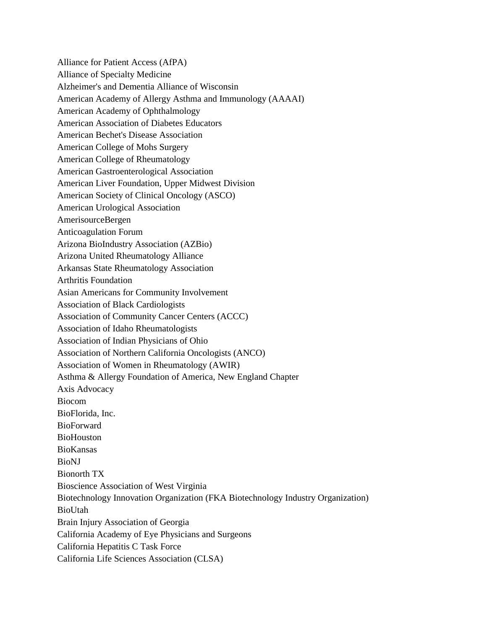Alliance for Patient Access (AfPA) Alliance of Specialty Medicine Alzheimer's and Dementia Alliance of Wisconsin American Academy of Allergy Asthma and Immunology (AAAAI) American Academy of Ophthalmology American Association of Diabetes Educators American Bechet's Disease Association American College of Mohs Surgery American College of Rheumatology American Gastroenterological Association American Liver Foundation, Upper Midwest Division American Society of Clinical Oncology (ASCO) American Urological Association AmerisourceBergen Anticoagulation Forum Arizona BioIndustry Association (AZBio) Arizona United Rheumatology Alliance Arkansas State Rheumatology Association Arthritis Foundation Asian Americans for Community Involvement Association of Black Cardiologists Association of Community Cancer Centers (ACCC) Association of Idaho Rheumatologists Association of Indian Physicians of Ohio Association of Northern California Oncologists (ANCO) Association of Women in Rheumatology (AWIR) Asthma & Allergy Foundation of America, New England Chapter Axis Advocacy Biocom BioFlorida, Inc. BioForward BioHouston BioKansas BioNJ Bionorth TX Bioscience Association of West Virginia Biotechnology Innovation Organization (FKA Biotechnology Industry Organization) BioUtah Brain Injury Association of Georgia California Academy of Eye Physicians and Surgeons California Hepatitis C Task Force California Life Sciences Association (CLSA)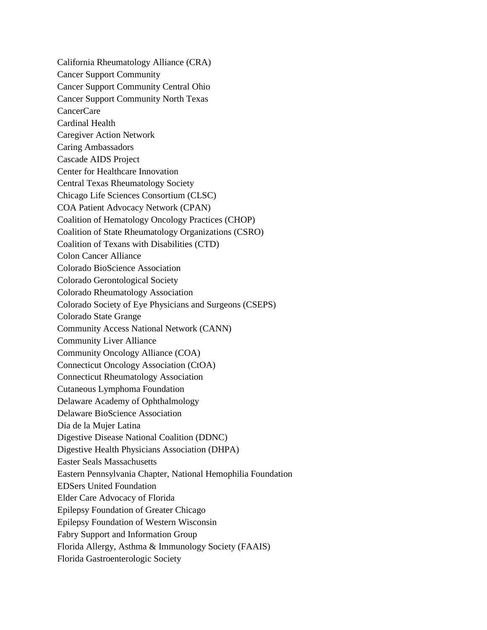California Rheumatology Alliance (CRA) Cancer Support Community Cancer Support Community Central Ohio Cancer Support Community North Texas CancerCare Cardinal Health Caregiver Action Network Caring Ambassadors Cascade AIDS Project Center for Healthcare Innovation Central Texas Rheumatology Society Chicago Life Sciences Consortium (CLSC) COA Patient Advocacy Network (CPAN) Coalition of Hematology Oncology Practices (CHOP) Coalition of State Rheumatology Organizations (CSRO) Coalition of Texans with Disabilities (CTD) Colon Cancer Alliance Colorado BioScience Association Colorado Gerontological Society Colorado Rheumatology Association Colorado Society of Eye Physicians and Surgeons (CSEPS) Colorado State Grange Community Access National Network (CANN) Community Liver Alliance Community Oncology Alliance (COA) Connecticut Oncology Association (CtOA) Connecticut Rheumatology Association Cutaneous Lymphoma Foundation Delaware Academy of Ophthalmology Delaware BioScience Association Dia de la Mujer Latina Digestive Disease National Coalition (DDNC) Digestive Health Physicians Association (DHPA) Easter Seals Massachusetts Eastern Pennsylvania Chapter, National Hemophilia Foundation EDSers United Foundation Elder Care Advocacy of Florida Epilepsy Foundation of Greater Chicago Epilepsy Foundation of Western Wisconsin Fabry Support and Information Group Florida Allergy, Asthma & Immunology Society (FAAIS) Florida Gastroenterologic Society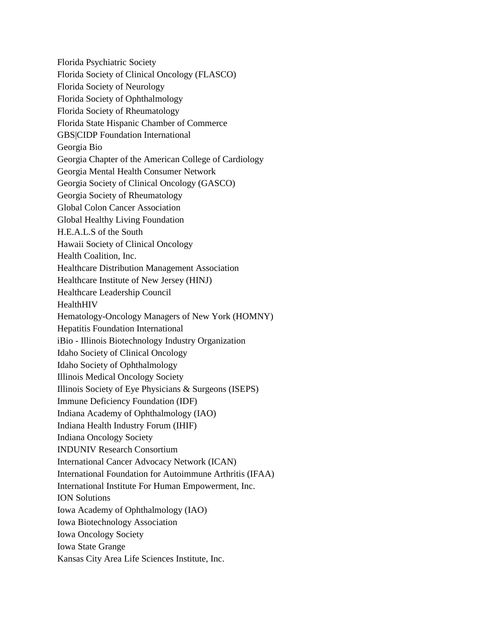Florida Psychiatric Society Florida Society of Clinical Oncology (FLASCO) Florida Society of Neurology Florida Society of Ophthalmology Florida Society of Rheumatology Florida State Hispanic Chamber of Commerce GBS|CIDP Foundation International Georgia Bio Georgia Chapter of the American College of Cardiology Georgia Mental Health Consumer Network Georgia Society of Clinical Oncology (GASCO) Georgia Society of Rheumatology Global Colon Cancer Association Global Healthy Living Foundation H.E.A.L.S of the South Hawaii Society of Clinical Oncology Health Coalition, Inc. Healthcare Distribution Management Association Healthcare Institute of New Jersey (HINJ) Healthcare Leadership Council HealthHIV Hematology-Oncology Managers of New York (HOMNY) Hepatitis Foundation International iBio - Illinois Biotechnology Industry Organization Idaho Society of Clinical Oncology Idaho Society of Ophthalmology Illinois Medical Oncology Society Illinois Society of Eye Physicians & Surgeons (ISEPS) Immune Deficiency Foundation (IDF) Indiana Academy of Ophthalmology (IAO) Indiana Health Industry Forum (IHIF) Indiana Oncology Society INDUNIV Research Consortium International Cancer Advocacy Network (ICAN) International Foundation for Autoimmune Arthritis (IFAA) International Institute For Human Empowerment, Inc. ION Solutions Iowa Academy of Ophthalmology (IAO) Iowa Biotechnology Association Iowa Oncology Society Iowa State Grange Kansas City Area Life Sciences Institute, Inc.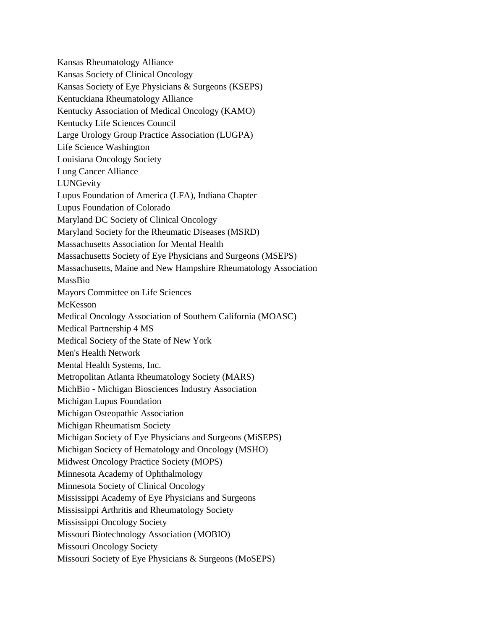Kansas Rheumatology Alliance Kansas Society of Clinical Oncology Kansas Society of Eye Physicians & Surgeons (KSEPS) Kentuckiana Rheumatology Alliance Kentucky Association of Medical Oncology (KAMO) Kentucky Life Sciences Council Large Urology Group Practice Association (LUGPA) Life Science Washington Louisiana Oncology Society Lung Cancer Alliance LUNGevity Lupus Foundation of America (LFA), Indiana Chapter Lupus Foundation of Colorado Maryland DC Society of Clinical Oncology Maryland Society for the Rheumatic Diseases (MSRD) Massachusetts Association for Mental Health Massachusetts Society of Eye Physicians and Surgeons (MSEPS) Massachusetts, Maine and New Hampshire Rheumatology Association MassBio Mayors Committee on Life Sciences McKesson Medical Oncology Association of Southern California (MOASC) Medical Partnership 4 MS Medical Society of the State of New York Men's Health Network Mental Health Systems, Inc. Metropolitan Atlanta Rheumatology Society (MARS) MichBio - Michigan Biosciences Industry Association Michigan Lupus Foundation Michigan Osteopathic Association Michigan Rheumatism Society Michigan Society of Eye Physicians and Surgeons (MiSEPS) Michigan Society of Hematology and Oncology (MSHO) Midwest Oncology Practice Society (MOPS) Minnesota Academy of Ophthalmology Minnesota Society of Clinical Oncology Mississippi Academy of Eye Physicians and Surgeons Mississippi Arthritis and Rheumatology Society Mississippi Oncology Society Missouri Biotechnology Association (MOBIO) Missouri Oncology Society Missouri Society of Eye Physicians & Surgeons (MoSEPS)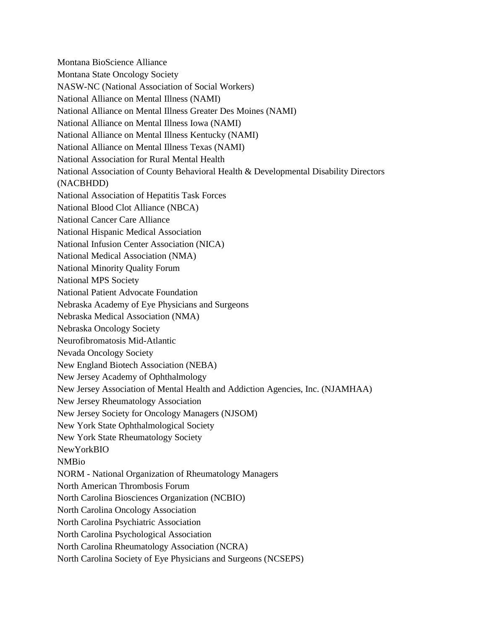Montana BioScience Alliance Montana State Oncology Society NASW-NC (National Association of Social Workers) National Alliance on Mental Illness (NAMI) National Alliance on Mental Illness Greater Des Moines (NAMI) National Alliance on Mental Illness Iowa (NAMI) National Alliance on Mental Illness Kentucky (NAMI) National Alliance on Mental Illness Texas (NAMI) National Association for Rural Mental Health National Association of County Behavioral Health & Developmental Disability Directors (NACBHDD) National Association of Hepatitis Task Forces National Blood Clot Alliance (NBCA) National Cancer Care Alliance National Hispanic Medical Association National Infusion Center Association (NICA) National Medical Association (NMA) National Minority Quality Forum National MPS Society National Patient Advocate Foundation Nebraska Academy of Eye Physicians and Surgeons Nebraska Medical Association (NMA) Nebraska Oncology Society Neurofibromatosis Mid-Atlantic Nevada Oncology Society New England Biotech Association (NEBA) New Jersey Academy of Ophthalmology New Jersey Association of Mental Health and Addiction Agencies, Inc. (NJAMHAA) New Jersey Rheumatology Association New Jersey Society for Oncology Managers (NJSOM) New York State Ophthalmological Society New York State Rheumatology Society NewYorkBIO NMBio NORM - National Organization of Rheumatology Managers North American Thrombosis Forum North Carolina Biosciences Organization (NCBIO) North Carolina Oncology Association North Carolina Psychiatric Association North Carolina Psychological Association North Carolina Rheumatology Association (NCRA) North Carolina Society of Eye Physicians and Surgeons (NCSEPS)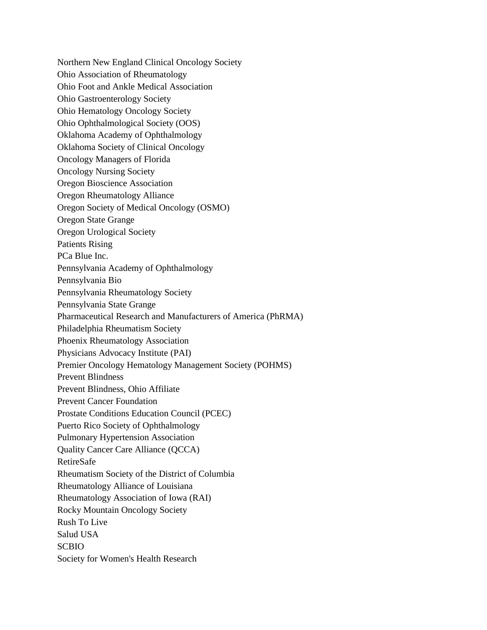Northern New England Clinical Oncology Society Ohio Association of Rheumatology Ohio Foot and Ankle Medical Association Ohio Gastroenterology Society Ohio Hematology Oncology Society Ohio Ophthalmological Society (OOS) Oklahoma Academy of Ophthalmology Oklahoma Society of Clinical Oncology Oncology Managers of Florida Oncology Nursing Society Oregon Bioscience Association Oregon Rheumatology Alliance Oregon Society of Medical Oncology (OSMO) Oregon State Grange Oregon Urological Society Patients Rising PCa Blue Inc. Pennsylvania Academy of Ophthalmology Pennsylvania Bio Pennsylvania Rheumatology Society Pennsylvania State Grange Pharmaceutical Research and Manufacturers of America (PhRMA) Philadelphia Rheumatism Society Phoenix Rheumatology Association Physicians Advocacy Institute (PAI) Premier Oncology Hematology Management Society (POHMS) Prevent Blindness Prevent Blindness, Ohio Affiliate Prevent Cancer Foundation Prostate Conditions Education Council (PCEC) Puerto Rico Society of Ophthalmology Pulmonary Hypertension Association Quality Cancer Care Alliance (QCCA) RetireSafe Rheumatism Society of the District of Columbia Rheumatology Alliance of Louisiana Rheumatology Association of Iowa (RAI) Rocky Mountain Oncology Society Rush To Live Salud USA SCBIO Society for Women's Health Research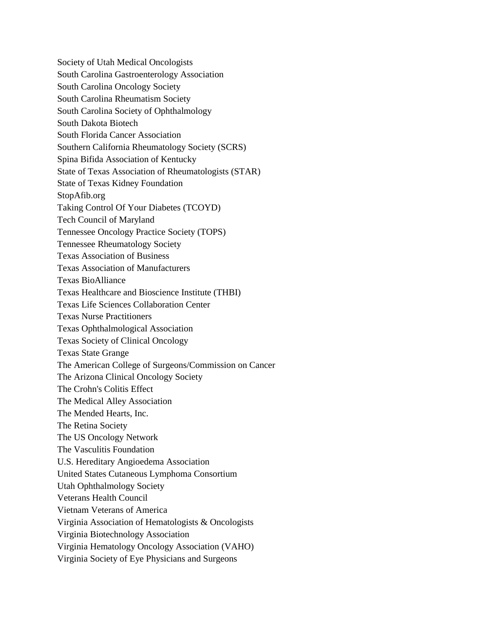Society of Utah Medical Oncologists South Carolina Gastroenterology Association South Carolina Oncology Society South Carolina Rheumatism Society South Carolina Society of Ophthalmology South Dakota Biotech South Florida Cancer Association Southern California Rheumatology Society (SCRS) Spina Bifida Association of Kentucky State of Texas Association of Rheumatologists (STAR) State of Texas Kidney Foundation StopAfib.org Taking Control Of Your Diabetes (TCOYD) Tech Council of Maryland Tennessee Oncology Practice Society (TOPS) Tennessee Rheumatology Society Texas Association of Business Texas Association of Manufacturers Texas BioAlliance Texas Healthcare and Bioscience Institute (THBI) Texas Life Sciences Collaboration Center Texas Nurse Practitioners Texas Ophthalmological Association Texas Society of Clinical Oncology Texas State Grange The American College of Surgeons/Commission on Cancer The Arizona Clinical Oncology Society The Crohn's Colitis Effect The Medical Alley Association The Mended Hearts, Inc. The Retina Society The US Oncology Network The Vasculitis Foundation U.S. Hereditary Angioedema Association United States Cutaneous Lymphoma Consortium Utah Ophthalmology Society Veterans Health Council Vietnam Veterans of America Virginia Association of Hematologists & Oncologists Virginia Biotechnology Association Virginia Hematology Oncology Association (VAHO) Virginia Society of Eye Physicians and Surgeons